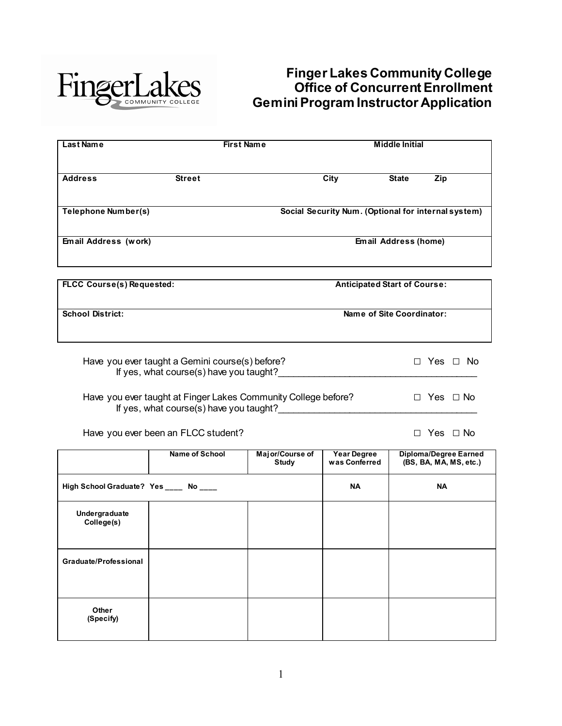

# **Finger Lakes Community College Office of Concurrent Enrollment Gemini Program Instructor Application**

| <b>Last Name</b>                 | <b>First Name</b>                                                                                         |                                                     | <b>Middle Initial</b>               |                      |                      |
|----------------------------------|-----------------------------------------------------------------------------------------------------------|-----------------------------------------------------|-------------------------------------|----------------------|----------------------|
| <b>Address</b>                   | <b>Street</b>                                                                                             | City                                                | <b>State</b>                        | Zip                  |                      |
| <b>Telephone Number(s)</b>       |                                                                                                           | Social Security Num. (Optional for internal system) |                                     |                      |                      |
| Email Address (work)             |                                                                                                           | <b>Email Address (home)</b>                         |                                     |                      |                      |
|                                  |                                                                                                           |                                                     |                                     |                      |                      |
| <b>FLCC Course(s) Requested:</b> |                                                                                                           |                                                     | <b>Anticipated Start of Course:</b> |                      |                      |
| <b>School District:</b>          |                                                                                                           |                                                     | Name of Site Coordinator:           |                      |                      |
|                                  | Have you ever taught a Gemini course(s) before?<br>If yes, what course(s) have you taught?                |                                                     |                                     |                      | $\Box$ Yes $\Box$ No |
|                                  | Have you ever taught at Finger Lakes Community College before?<br>If yes, what course(s) have you taught? |                                                     |                                     | $\Box$ Yes $\Box$ No |                      |

Have you ever been an FLCC student? □ Yes □ No

|                                       | <b>Name of School</b> | Major/Course of<br><b>Study</b> | <b>Year Degree</b><br>was Conferred | <b>Diploma/Degree Earned</b><br>(BS, BA, MA, MS, etc.) |
|---------------------------------------|-----------------------|---------------------------------|-------------------------------------|--------------------------------------------------------|
| High School Graduate? Yes ____ No ___ |                       |                                 | <b>NA</b>                           | NA                                                     |
| Undergraduate<br>College(s)           |                       |                                 |                                     |                                                        |
| Graduate/Professional                 |                       |                                 |                                     |                                                        |
| Other<br>(Specify)                    |                       |                                 |                                     |                                                        |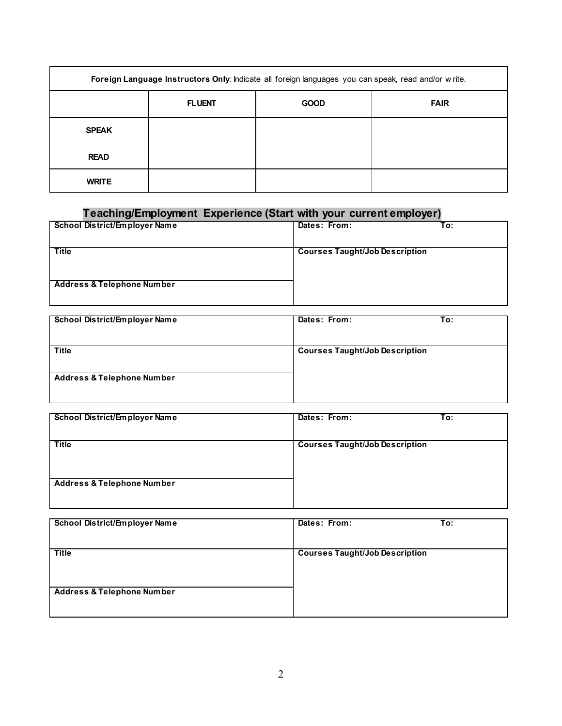| Foreign Language Instructors Only: Indicate all foreign languages you can speak, read and/or write. |               |             |             |
|-----------------------------------------------------------------------------------------------------|---------------|-------------|-------------|
|                                                                                                     | <b>FLUENT</b> | <b>GOOD</b> | <b>FAIR</b> |
| <b>SPEAK</b>                                                                                        |               |             |             |
| <b>READ</b>                                                                                         |               |             |             |
| <b>WRITE</b>                                                                                        |               |             |             |

# **Teaching/Employment Experience (Start with your current employer)**

| School District/Employer Name         | To:<br>Dates: From:                   |
|---------------------------------------|---------------------------------------|
| <b>Title</b>                          | <b>Courses Taught/Job Description</b> |
| <b>Address &amp; Telephone Number</b> |                                       |
|                                       |                                       |

| School District/Employer Name         | Dates: From:                          | To: |
|---------------------------------------|---------------------------------------|-----|
| <b>Title</b>                          | <b>Courses Taught/Job Description</b> |     |
|                                       |                                       |     |
| <b>Address &amp; Telephone Number</b> |                                       |     |
|                                       |                                       |     |

| School District/Employer Name         | Dates: From:<br>To:                   |  |
|---------------------------------------|---------------------------------------|--|
| <b>Title</b>                          | <b>Courses Taught/Job Description</b> |  |
| <b>Address &amp; Telephone Number</b> |                                       |  |

| School District/Employer Name         | Dates: From:                          | To: |
|---------------------------------------|---------------------------------------|-----|
| <b>Title</b>                          | <b>Courses Taught/Job Description</b> |     |
| <b>Address &amp; Telephone Number</b> |                                       |     |